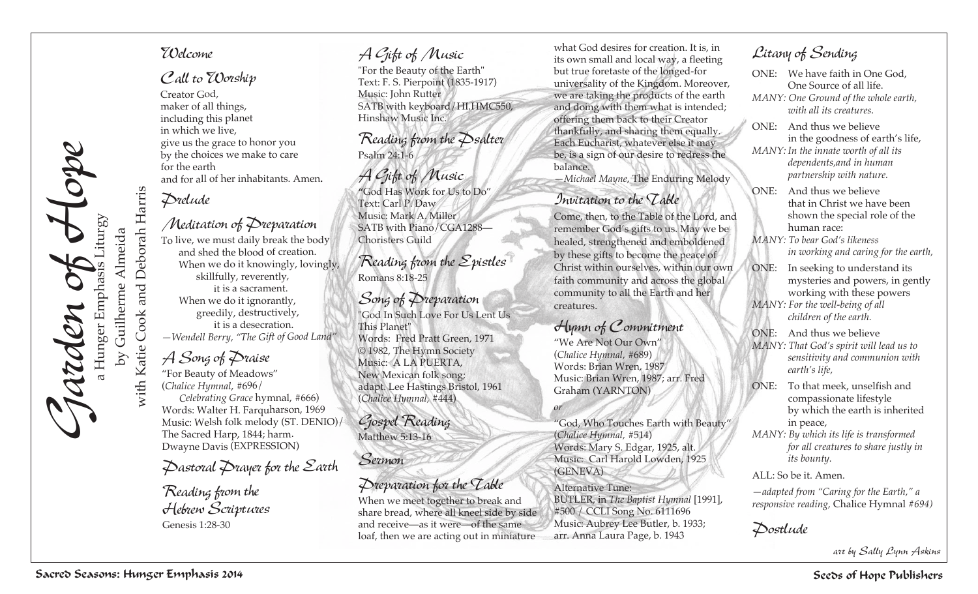

with Katie Cook and Deborah Harris

with Katie Cook

# and Deborah Harris

### Creator God, maker of all things, including this planet in which we live,

<sup>g</sup>ive us the grace to honor you by the choices we make to care for the earth and for all of her inhabitants. Amen**.**

# *Prelude*

*Welcome*

*Call to Worship*

## *Meditation of Preparation*

To live, we must daily break the body and shed the blood of creation. When we do it knowingly, lovingly, skillfully, reverently, it is a sacrament. When we do it ignorantly, greedily, destructively, it is a desecration. *—Wendell Berry, "The Gift of Good Land"*

# *A Song of Praise*

"For Beauty of Meadows" (*Chalice Hymnal*, #696/ *Celebrating Grace* hymnal, #666) Words: Walter H. Farquharson, 1969 Music: Welsh folk melody (ST. DENIO)/ The Sacred Harp, 1844; harm. Dwayne Davis (EXPRESSION)

# *Pastoral Prayer for the Earth*

*Reading from the Hebrew Scriptures* Genesis 1:28-30

### *A Gift of Music*

"For the Beauty of the Earth" Text: F. S. Pierpoint (1835-1917) Music: John Rutter SATB with keyboard/HI.HMC550, Hinshaw Music Inc.

*Reading from the Psalter* Psalm 24:1-6

*A Gift of Music* **"**God Has Work for Us to Do" Text: Carl P. Daw Music: Mark A. Miller SATB with Piano/CGA1288— Choristers Guild

*Reading from the Epistles* Romans 8:18-25

### *Song of Preparation*

"God In Such Love For Us Lent Us This Planet" Words: Fred Pratt Green, 1971 © 1982, The Hymn Society Music: A LA PUERTA, New Mexican folk song; adapt. Lee Hastings Bristol, 1961 (*Chalice Hymnal,* #444)

*Gospel Reading* Matthew 5:13-16

# *Sermon*

### *Preparation for the Table*

When we meet together to break and share bread, where all kneel side by side and receive—as it were—of the same loaf, then we are acting out in miniature

what God desires for creation. It is, in its own small and local way, a fleeting but true foretaste of the longed-for universality of the Kingdom. Moreover, we are taking the products of the earth and doing with them what is intended; offering them back to their Creator thankfully, and sharing them equally. Each Eucharist, whatever else it may be, is a sign of our desire to redress the balance.

*—Michael Mayne,* The Enduring Melody

### *Invitation to the Table*

Come, then, to the Table of the Lord, and remember God's gifts to us. May we be healed, strengthened and emboldened by these gifts to become the peace of Christ within ourselves, within our own faith community and across the global community to all the Earth and her creatures.

# *Hymn of Commitment*

"We Are Not Our Own" (*Chalice Hymnal*, #689) Words: Brian Wren, 1987 Music: Brian Wren, 1987; arr. Fred Graham (YARNTON)

*or*

"God, Who Touches Earth with Beauty" (*Chalice Hymnal,* #514) Words: Mary S. Edgar, 1925, alt. Music: Carl Harold Lowden, 1925 (GENEVA)

Alternative Tune: BUTLER, in *The Baptist Hymnal* [1991], #500 / CCLI Song No. 6111696 Music: Aubrey Lee Butler, b. 1933; arr. Anna Laura Page, b. 1943

# *Litany of Sending*

- ONE: We have faith in One God, One Source of all life.
- *MANY: One Ground of the whole earth, with all its creatures.*
- ONE: And thus we believe in the goodness of earth's life,

*MANY: In the innate worth of all its dependents,and in human partnership with nature.*

- ONE: And thus we believe that in Christ we have been shown the special role of the human race:
- *MANY: To bear God's likeness in working and caring for the earth,*
- ONE: In seeking to understand its mysteries and powers, in gently working with these powers
- *MANY: For the well-being of all children of the earth.*
- ONE: And thus we believe
- *MANY: That God's spirit will lead us to sensitivity and communion with earth's life,*
- ONE: To that meek, unselfish and compassionate lifestyle by which the earth is inherited in peace,
- *MANY: By which its life is transformed for all creatures to share justly in its bounty.*

ALL: So be it. Amen.

*—adapted from "Caring for the Earth," a responsive reading,* Chalice Hymnal *#694)*

*Postlude*

*art by Sally Lynn Askins*